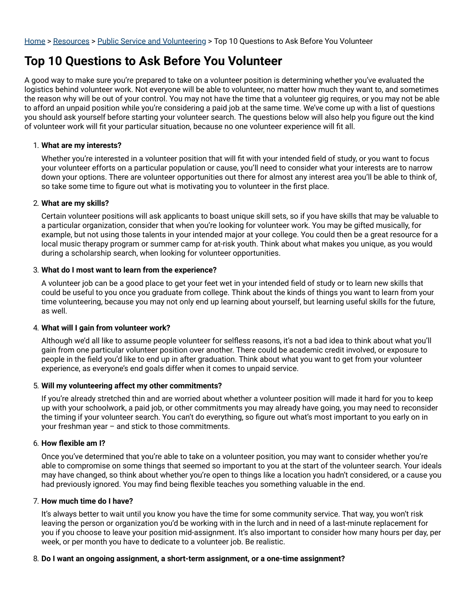# **Top 10 Questions to Ask Before You Volunteer**

A good way to make sure you're prepared to take on a volunteer position is determining whether you've evaluated the logistics behind volunteer work. Not everyone will be able to volunteer, no matter how much they want to, and sometimes the reason why will be out of your control. You may not have the time that a volunteer gig requires, or you may not be able to afford an unpaid position while you're considering a paid job at the same time. We've come up with a list of questions you should ask yourself before starting your volunteer search. The questions below will also help you figure out the kind of volunteer work will fit your particular situation, because no one volunteer experience will fit all.

#### 1. **What are my interests?**

Whether you're interested in a volunteer position that will fit with your intended field of study, or you want to focus your volunteer efforts on a particular population or cause, you'll need to consider what your interests are to narrow down your options. There are volunteer opportunities out there for almost any interest area you'll be able to think of, so take some time to figure out what is motivating you to volunteer in the first place.

#### 2. **What are my skills?**

Certain volunteer positions will ask applicants to boast unique skill sets, so if you have skills that may be valuable to a particular organization, consider that when you're looking for volunteer work. You may be gifted musically, for example, but not using those talents in your intended major at your college. You could then be a great resource for a local music therapy program or summer camp for at-risk youth. Think about what makes you unique, as you would during a scholarship search, when looking for volunteer opportunities.

#### 3. **What do I most want to learn from the experience?**

A volunteer job can be a good place to get your feet wet in your intended field of study or to learn new skills that could be useful to you once you graduate from college. Think about the kinds of things you want to learn from your time volunteering, because you may not only end up learning about yourself, but learning useful skills for the future, as well.

#### 4. **What will I gain from volunteer work?**

Although we'd all like to assume people volunteer for selfless reasons, it's not a bad idea to think about what you'll gain from one particular volunteer position over another. There could be academic credit involved, or exposure to people in the field you'd like to end up in after graduation. Think about what you want to get from your volunteer experience, as everyone's end goals differ when it comes to unpaid service.

#### 5. **Will my volunteering affect my other commitments?**

If you're already stretched thin and are worried about whether a volunteer position will made it hard for you to keep up with your schoolwork, a paid job, or other commitments you may already have going, you may need to reconsider the timing if your volunteer search. You can't do everything, so figure out what's most important to you early on in your freshman year – and stick to those commitments.

#### 6. How flexible am I?

Once you've determined that you're able to take on a volunteer position, you may want to consider whether you're able to compromise on some things that seemed so important to you at the start of the volunteer search. Your ideals may have changed, so think about whether you're open to things like a location you hadn't considered, or a cause you had previously ignored. You may find being flexible teaches you something valuable in the end.

#### 7. **How much time do I have?**

It's always better to wait until you know you have the time for some community service. That way, you won't risk leaving the person or organization you'd be working with in the lurch and in need of a last-minute replacement for you if you choose to leave your position mid-assignment. It's also important to consider how many hours per day, per week, or per month you have to dedicate to a volunteer job. Be realistic.

#### 8. **Do I want an ongoing assignment, a short-term assignment, or a one-time assignment?**